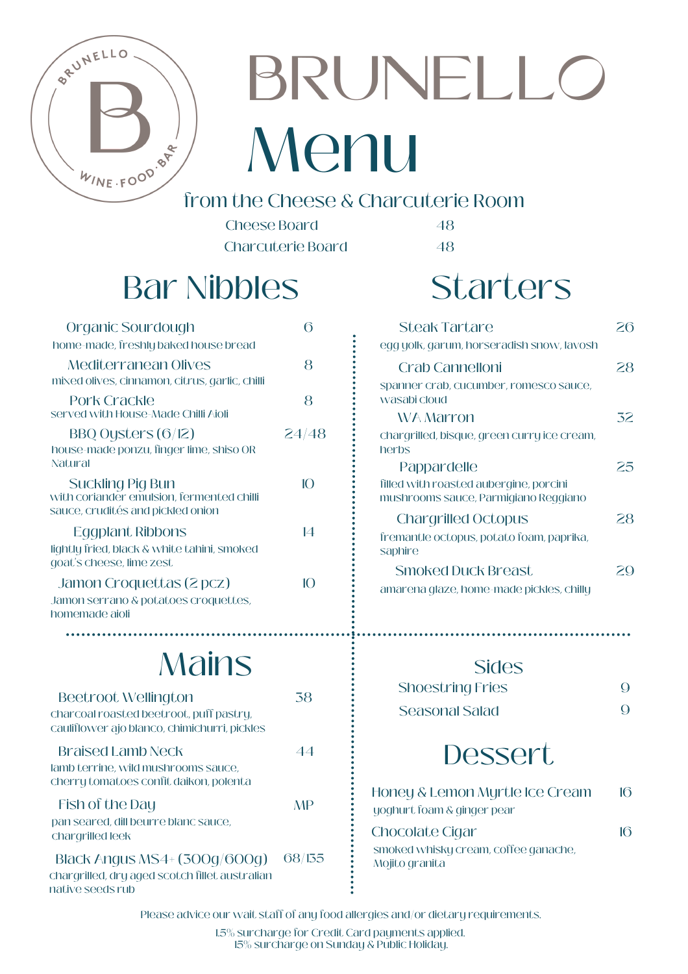

# BRUNELLO Menu  $\frac{k_{\text{I}_{NE} + \rho 0^0} \cdot \rho}{\text{from the cheese & Characterile Room}}$

Cheese Board 48 Charcuterie Board 48

## Bar Nibbles

| Organic Sourdough<br>home-made, freshly baked house bread                                                      | 6     | <b>Steak Tartare</b><br>egg yolk, garum, horseradish snow, lavosh                             | 26  |
|----------------------------------------------------------------------------------------------------------------|-------|-----------------------------------------------------------------------------------------------|-----|
| Mediterranean Olives<br>mixed olives, cinnamon, citrus, garlic, chilli                                         | 8     | Crab Cannelloni<br>spanner crab, cucumber, romesco sauce,                                     | 28  |
| Pork Crackle<br>served with House-Made Chilli Aioli                                                            | 8     | wasabi cloud<br><b>WA Marron</b>                                                              | 32. |
| BBQ Oysters $(6/12)$<br>house-made ponzu, finger lime, shiso OR                                                | 24/48 | chargrilled, bisque, green curry ice cream,<br>herbs                                          |     |
| Natural<br>Suckling Pig Bun<br>with coriander emulsion, fermented chilli                                       | 10    | Pappardelle<br>filled with roasted aubergine, porcini<br>mushrooms sauce, Parmigiano Reggiano | 25. |
| sauce, crudités and pickled onion<br>Eggplant Ribbons<br>lightly fried, black & white tahini, smoked           | 14    | <b>Chargrilled Octopus</b><br>fremantle octopus, potato foam, paprika,<br>saphire             | 28. |
| goat's cheese, lime zest<br>Jamon Croquettas (2 pcz)<br>Jamon serrano & potatoes croquettes,<br>homemade aioli | 10    | <b>Smoked Duck Breast</b><br>amarena glaze, home-made pickles, chilly                         | 20  |

## **Mains**

| Beetroot Wellington<br>charcoal roasted beetroot, puff pastry,<br>cauliflower ajo blanco, chimichurri, pickles | 38     |
|----------------------------------------------------------------------------------------------------------------|--------|
| Braised Lamb Neck<br>lamb terrine, wild mushrooms sauce,<br>cherry tomatoes confit daikon, polenta             | 44     |
| Fish of the Day<br>pan seared, dill beurre blanc sauce,<br>chargrilled leek                                    | MP     |
| Black Angus MS4+ (300g/600g)<br>chargrilled, dry aged scotch fillet australian<br>native seeds rub             | 68/135 |

## **Starters**

| <b>Steak Tartare</b>                                                           |    |
|--------------------------------------------------------------------------------|----|
| egg yolk, garum, horseradish snow, lavosh                                      |    |
| Crab Cannelloni                                                                | 28 |
| spanner crab, cucumber, romesco sauce,<br>wasabi cloud                         |    |
| WA Marron                                                                      | 32 |
| chargrilled, bisque, green curry ice cream,<br>herbs                           |    |
| Pappardelle                                                                    | ー  |
| filled with roasted aubergine, porcini<br>mushrooms sauce, Parmigiano Reggiano |    |
| <b>Chargrilled Octopus</b>                                                     | 28 |
| fremantle octopus, potato foam, paprika,<br>saphire                            |    |
| Smoked Duck Breast                                                             |    |
| amarena glaze, home-made pickles, chilly                                       |    |

#### **Sides**

| Shoestring Fries | $\Omega$ |
|------------------|----------|
| Seasonal Salad   |          |

### **Dessert**

| Honey & Lemon Myrtle Ice Cream                         | 16 |
|--------------------------------------------------------|----|
| yoghurt foam & ginger pear                             |    |
| Chocolate Cigar                                        | 16 |
| smoked whisky cream, coffee ganache,<br>Mojito granita |    |
|                                                        |    |

Please advice our wait staff of any food allergies and/or dietary requirements.

1.5% surcharge for Credit Card payments applied. 15% surcharge on Sunday & Public Holiday.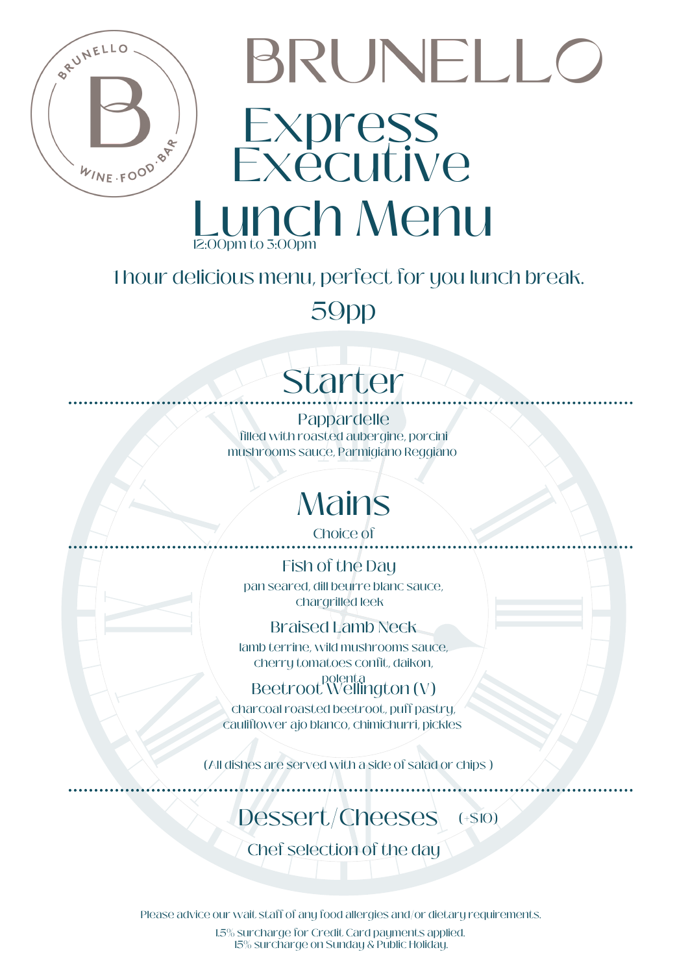

# BRUNELLO Express Exécutive Lunch Menu

#### 1 hour delicious menu, perfect for you lunch break.

59pp

# Starter

Pappardelle filled with roasted aubergine, porcini mushrooms sauce, Parmigiano Reggiano

## **Mains**

Choice of

Fish of the Day pan seared, dill beurre blanc sauce,

chargrilled leek

Braised Lamb Neck

lamb terrine, wild mushrooms sauce, cherry tomatoes confit, daikon,

Beetroot<sup>polenta</sup> (V)

charcoal roasted beetroot, puff pastry, cauliflower ajo blanco, chimichurri, pickles

(All dishes are served with a side of salad or chips )

#### Dessert/Cheeses  $(+\$10)$

Chef selection of the day

Please advice our wait staff of any food allergies and/or dietary requirements.

1.5% surcharge for Credit Card payments applied. 15% surcharge on Sunday & Public Holiday.